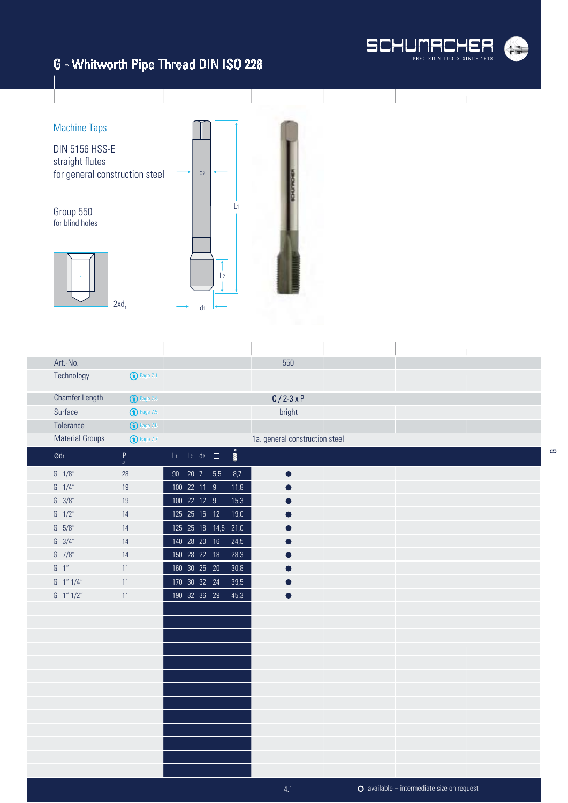



| Art.-No.                      |                                                                                                            |                 |  |                          |                          | 550                            |  |  |
|-------------------------------|------------------------------------------------------------------------------------------------------------|-----------------|--|--------------------------|--------------------------|--------------------------------|--|--|
| Technology                    | $\bigodot$ Page 7.1                                                                                        |                 |  |                          |                          |                                |  |  |
| <b>Chamfer Length</b>         | <b>1</b> Page 7.4                                                                                          |                 |  |                          |                          | $C/2-3xP$                      |  |  |
| Surface                       | <b>1</b> Page 7.5                                                                                          |                 |  |                          |                          | bright                         |  |  |
| Tolerance                     | $\bigodot$ Page 7.6                                                                                        |                 |  |                          |                          |                                |  |  |
| <b>Material Groups</b>        | <b>1</b> Page 7.7                                                                                          |                 |  |                          |                          | 1a. general construction steel |  |  |
| $\boldsymbol{\mathcal{O}}$ dı | $\mathsf{P}% _{0}\left( \mathsf{P}_{0}\right) ^{T}=\mathsf{P}_{0}\left( \mathsf{P}_{0}\right) ^{T}$<br>tpi |                 |  | $L_1$ $L_2$ $d_2$ $\Box$ | $\overline{\text{nm}}$ s |                                |  |  |
| $G \quad 1/8''$               | 28                                                                                                         | 90 20 7 5,5     |  |                          | 8,7                      | $\bullet$                      |  |  |
| $G \quad 1/4''$               | 19                                                                                                         | 100 22 11 9     |  |                          | 11,8                     |                                |  |  |
| $G \ 3/8"$                    | 19                                                                                                         | 100 22 12 9     |  |                          | 15,3                     |                                |  |  |
| $G \frac{1}{2}$               | 14                                                                                                         | 125  25  16  12 |  |                          | 19,0                     |                                |  |  |
| $G = 5/8"$                    | 14                                                                                                         |                 |  | 125 25 18 14,5           | 21,0                     |                                |  |  |
| $G \quad 3/4''$               | 14                                                                                                         | 140 28 20 16    |  |                          | 24,5                     |                                |  |  |
| $G$ 7/8"                      | 14                                                                                                         | 150  28  22  18 |  |                          | 28,3                     |                                |  |  |
| $G-1$ "                       | 11                                                                                                         | 160 30 25 20    |  |                          | 30,8                     |                                |  |  |
| G 1"1/4"                      | 11                                                                                                         | 170 30 32 24    |  |                          | 39,5                     |                                |  |  |
| $G$ 1" $1/2$ "                | 11                                                                                                         | 190 32 36 29    |  |                          | 45,3                     |                                |  |  |
|                               |                                                                                                            |                 |  |                          |                          |                                |  |  |
|                               |                                                                                                            |                 |  |                          |                          |                                |  |  |
|                               |                                                                                                            |                 |  |                          |                          |                                |  |  |
|                               |                                                                                                            |                 |  |                          |                          |                                |  |  |
|                               |                                                                                                            |                 |  |                          |                          |                                |  |  |
|                               |                                                                                                            |                 |  |                          |                          |                                |  |  |
|                               |                                                                                                            |                 |  |                          |                          |                                |  |  |
|                               |                                                                                                            |                 |  |                          |                          |                                |  |  |
|                               |                                                                                                            |                 |  |                          |                          |                                |  |  |
|                               |                                                                                                            |                 |  |                          |                          |                                |  |  |
|                               |                                                                                                            |                 |  |                          |                          |                                |  |  |
|                               |                                                                                                            |                 |  |                          |                          |                                |  |  |
|                               |                                                                                                            |                 |  |                          |                          |                                |  |  |

G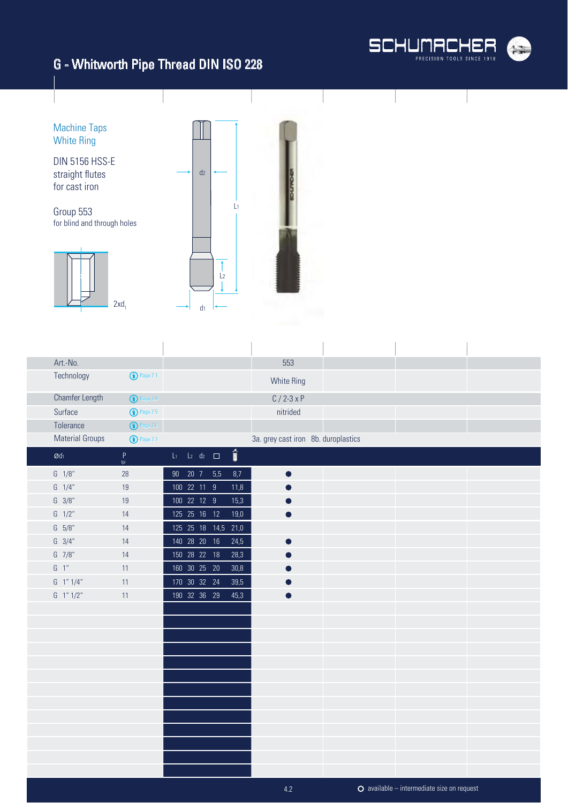



| Art.-No.                   |                                             |                                        |                            | 553                                 |  |  |
|----------------------------|---------------------------------------------|----------------------------------------|----------------------------|-------------------------------------|--|--|
| Technology                 | <b>1</b> Page 7.1                           |                                        |                            | <b>White Ring</b>                   |  |  |
|                            | Chamfer Length<br><sup>O</sup> Page 7.4     |                                        |                            | $C / 2 - 3xP$                       |  |  |
| Surface                    | <b>1</b> Page 7.5                           |                                        |                            | nitrided                            |  |  |
| Tolerance                  | $\bigodot$ Page 7.6                         |                                        |                            |                                     |  |  |
|                            | <b>Material Groups</b><br><b>1</b> Page 7.7 |                                        |                            | 3a. grey cast iron 8b. duroplastics |  |  |
| $\boldsymbol{\text{O}}$ dı | $\mathsf P$<br>tpi                          | $L_2$ d <sub>2</sub> $\Box$<br>$L_{1}$ | $\overline{\mathbf{M}}$ of |                                     |  |  |
| $G \quad 1/8''$            | 28                                          | 90  20  7  5,5                         | 8,7                        |                                     |  |  |
| $G \quad 1/4"$             | 19                                          | 100 22 11 9                            | 11,8                       |                                     |  |  |
| $G \frac{3}{8}$            | 19                                          | 100 22 12 9                            | 15,3                       |                                     |  |  |
| $G \frac{1}{2}$            | 14                                          | 125  25  16  12                        | 19,0                       |                                     |  |  |
| $G = 5/8"$                 | 14                                          | 125  25  18  14,5                      | 21,0                       |                                     |  |  |
| $G \quad 3/4"$             | 14                                          | 140 28 20 16                           | 24,5                       |                                     |  |  |
| $G$ 7/8"                   | 14                                          | 150  28  22  18                        | 28,3                       |                                     |  |  |
| $G-1$ "                    | 11                                          | 160 30 25 20                           | 30,8                       |                                     |  |  |
| $G$ 1" $1/4$ "             | 11                                          | 170 30 32 24                           | 39,5                       |                                     |  |  |
| G 1" 1/2"                  | 11                                          | 190 32 36 29                           | 45,3                       |                                     |  |  |
|                            |                                             |                                        |                            |                                     |  |  |
|                            |                                             |                                        |                            |                                     |  |  |
|                            |                                             |                                        |                            |                                     |  |  |
|                            |                                             |                                        |                            |                                     |  |  |
|                            |                                             |                                        |                            |                                     |  |  |
|                            |                                             |                                        |                            |                                     |  |  |
|                            |                                             |                                        |                            |                                     |  |  |
|                            |                                             |                                        |                            |                                     |  |  |
|                            |                                             |                                        |                            |                                     |  |  |
|                            |                                             |                                        |                            |                                     |  |  |
|                            |                                             |                                        |                            |                                     |  |  |
|                            |                                             |                                        |                            |                                     |  |  |
|                            |                                             |                                        |                            |                                     |  |  |

4.2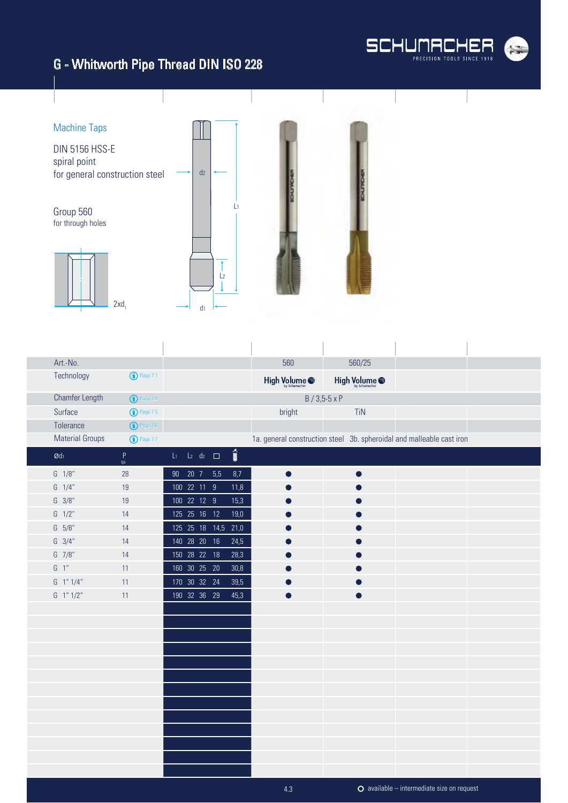

available – intermediate size on request

# G - Whitworth Pipe Thread DIN ISO 228

ï



 $\overline{1}$ 

| Art.-No.                   |                       |                 |             |                             |                         | 560                      | 560/25               |                                                                       |  |
|----------------------------|-----------------------|-----------------|-------------|-----------------------------|-------------------------|--------------------------|----------------------|-----------------------------------------------------------------------|--|
| Technology                 | $\bigodot$ Page 7.1   |                 |             |                             |                         | High Volume <sup>®</sup> | High Volume @        |                                                                       |  |
| Chamfer Length             | <sup>1</sup> Page 7.4 |                 |             |                             |                         |                          | $B / 3,5-5 \times P$ |                                                                       |  |
| Surface                    | $\bigodot$ Page 7.5   |                 |             |                             |                         | bright                   | TiN                  |                                                                       |  |
| Tolerance                  | $\bigodot$ Page 7.6   |                 |             |                             |                         |                          |                      |                                                                       |  |
| <b>Material Groups</b>     | <b>1</b> Page 7.7     |                 |             |                             |                         |                          |                      | 1a. general construction steel 3b. spheroidal and malleable cast iron |  |
| $\boldsymbol{\text{O}}$ dı | $\mathsf P$<br>tpi    | $\mathsf{L}_1$  |             | $L_2$ d <sub>2</sub> $\Box$ | $\overline{\mathbf{m}}$ |                          |                      |                                                                       |  |
| $G \quad 1/8''$            | 28                    | 90 <sub>o</sub> |             | 20 7 5,5                    | 8,7                     |                          |                      |                                                                       |  |
| $G \quad 1/4''$            | 19                    |                 | 100 22 11 9 |                             | 11,8                    |                          |                      |                                                                       |  |
| $G \frac{3}{8}$            | 19                    |                 | 100 22 12 9 |                             | 15,3                    |                          |                      |                                                                       |  |
| $G \frac{1}{2}$            | 14                    |                 |             | 125  25  16  12             | 19,0                    |                          |                      |                                                                       |  |
| $G = 5/8"$                 | 14                    |                 |             | 125 25 18 14,5              | 21,0                    |                          |                      |                                                                       |  |
| $G \quad 3/4"$             | 14                    |                 |             | 140 28 20 16                | 24,5                    |                          |                      |                                                                       |  |
| G 7/8"                     | 14                    |                 |             | 150  28  22  18             | 28,3                    |                          |                      |                                                                       |  |
| $G-1"$                     | 11                    |                 |             | 160 30 25 20                | 30,8                    |                          |                      |                                                                       |  |
| G 1" 1/4"                  | 11                    |                 |             | 170 30 32 24                | 39,5                    |                          |                      |                                                                       |  |
| G 1" 1/2"                  | 11                    |                 |             | 190 32 36 29                | 45,3                    |                          |                      |                                                                       |  |
|                            |                       |                 |             |                             |                         |                          |                      |                                                                       |  |
|                            |                       |                 |             |                             |                         |                          |                      |                                                                       |  |
|                            |                       |                 |             |                             |                         |                          |                      |                                                                       |  |
|                            |                       |                 |             |                             |                         |                          |                      |                                                                       |  |
|                            |                       |                 |             |                             |                         |                          |                      |                                                                       |  |
|                            |                       |                 |             |                             |                         |                          |                      |                                                                       |  |
|                            |                       |                 |             |                             |                         |                          |                      |                                                                       |  |
|                            |                       |                 |             |                             |                         |                          |                      |                                                                       |  |
|                            |                       |                 |             |                             |                         |                          |                      |                                                                       |  |
|                            |                       |                 |             |                             |                         |                          |                      |                                                                       |  |
|                            |                       |                 |             |                             |                         |                          |                      |                                                                       |  |
|                            |                       |                 |             |                             |                         |                          |                      |                                                                       |  |
|                            |                       |                 |             |                             |                         |                          |                      |                                                                       |  |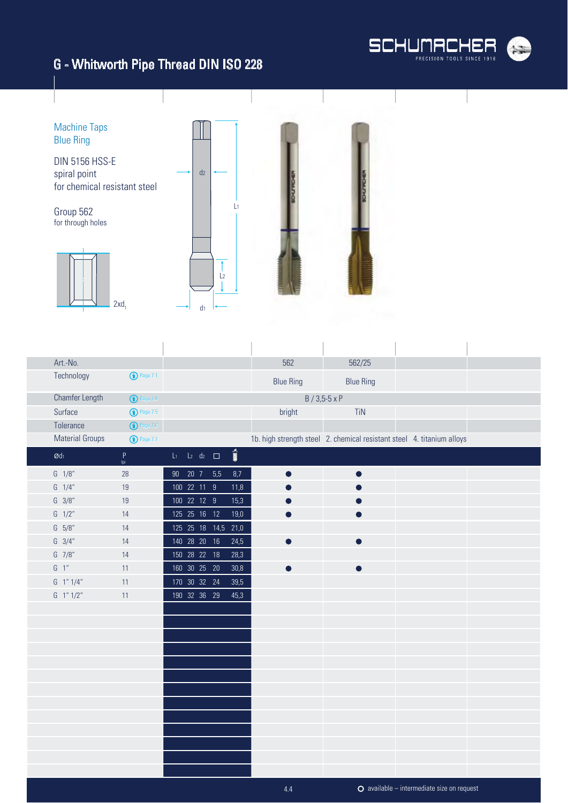



| Art.-No.               |                       |                          |                     |                       | 562              | 562/25                                                                 |  |
|------------------------|-----------------------|--------------------------|---------------------|-----------------------|------------------|------------------------------------------------------------------------|--|
| Technology             | <sup>1</sup> Page 7.1 |                          |                     |                       | <b>Blue Ring</b> | <b>Blue Ring</b>                                                       |  |
| <b>Chamfer Length</b>  | <b>1</b> Page 7.4     |                          |                     |                       |                  | $B / 3,5 - 5 \times P$                                                 |  |
| Surface                | <b>D</b> Page 7.5     |                          |                     |                       | bright           | TiN                                                                    |  |
| Tolerance              | $\bigodot$ Page 7.6   |                          |                     |                       |                  |                                                                        |  |
| <b>Material Groups</b> | <b>1</b> Page 7.7     |                          |                     |                       |                  | 1b. high strength steel 2. chemical resistant steel 4. titanium alloys |  |
| $\emptyset$ dı         | $\mathsf P$<br>tpi    | $L_1$ $L_2$ $d_2$ $\Box$ |                     | $\sum_{i=1}^{\infty}$ |                  |                                                                        |  |
| $G \quad 1/8''$        | 28                    | 90 20 7 5,5              |                     | $8,7$                 | $\bullet$        |                                                                        |  |
| $G \quad 1/4"$         | 19                    | 100 22 11 9              |                     | 11,8                  |                  |                                                                        |  |
| $G \ 3/8"$             | 19                    | $\overline{100}$ 22 12 9 |                     | 15,3                  |                  |                                                                        |  |
| $G \frac{1}{2}$        | 14                    | 125  25  16  12          |                     | 19,0                  |                  |                                                                        |  |
| $G = 5/8"$             | 14                    |                          | 125 25 18 14,5 21,0 |                       |                  |                                                                        |  |
| $G \quad 3/4''$        | 14                    | 140 28 20 16             |                     | 24,5                  |                  |                                                                        |  |
| G 7/8"                 | 14                    | 150 28 22 18             |                     | 28,3                  |                  |                                                                        |  |
| $G-1$ "                | 11                    | 160 30 25 20             |                     | 30,8                  |                  |                                                                        |  |
| $G$ 1" $1/4$ "         | 11                    | 170 30 32 24             |                     | 39,5                  |                  |                                                                        |  |
| G 1" 1/2"              | 11                    | 190 32 36 29             |                     | 45,3                  |                  |                                                                        |  |
|                        |                       |                          |                     |                       |                  |                                                                        |  |
|                        |                       |                          |                     |                       |                  |                                                                        |  |
|                        |                       |                          |                     |                       |                  |                                                                        |  |
|                        |                       |                          |                     |                       |                  |                                                                        |  |
|                        |                       |                          |                     |                       |                  |                                                                        |  |
|                        |                       |                          |                     |                       |                  |                                                                        |  |
|                        |                       |                          |                     |                       |                  |                                                                        |  |
|                        |                       |                          |                     |                       |                  |                                                                        |  |
|                        |                       |                          |                     |                       |                  |                                                                        |  |
|                        |                       |                          |                     |                       |                  |                                                                        |  |
|                        |                       |                          |                     |                       |                  |                                                                        |  |
|                        |                       |                          |                     |                       |                  |                                                                        |  |
|                        |                       |                          |                     |                       |                  |                                                                        |  |

4.4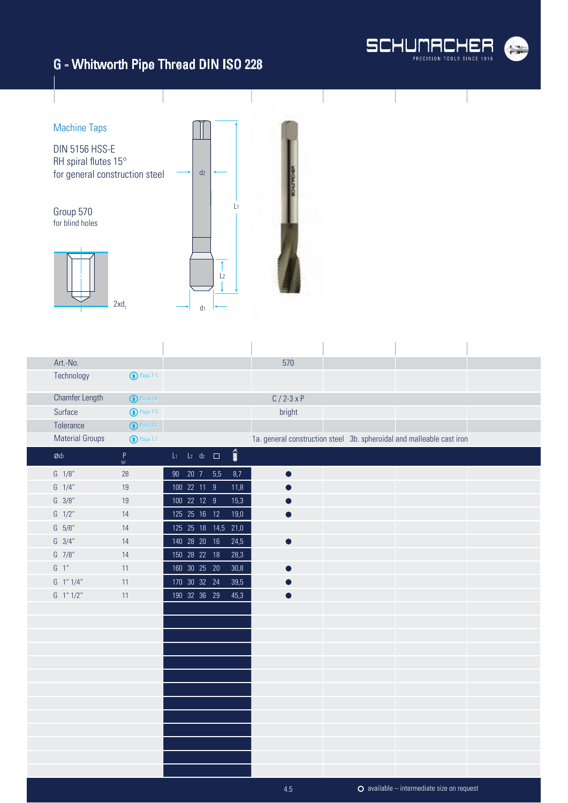



| Art.-No.               |                       |                           |  |                          | 570           |                                                                       |  |
|------------------------|-----------------------|---------------------------|--|--------------------------|---------------|-----------------------------------------------------------------------|--|
| Technology             | <sup>1</sup> Page 7.1 |                           |  |                          |               |                                                                       |  |
| Chamfer Length         | <b>1</b> Page 7.4     |                           |  |                          | $C / 2 - 3xP$ |                                                                       |  |
| Surface                | <b>1</b> Page 7.5     |                           |  |                          | bright        |                                                                       |  |
| Tolerance              | <b>1</b> Page 7.6     |                           |  |                          |               |                                                                       |  |
| <b>Material Groups</b> | <b>1</b> Page 7.7     |                           |  |                          |               | 1a. general construction steel 3b. spheroidal and malleable cast iron |  |
| $\emptyset$ dı         | $\sf P$<br>tpi        | $L_1$ $L_2$ $d_2$ $\Box$  |  | $\overline{\text{nm}}$ s |               |                                                                       |  |
| $G \quad 1/8''$        | 28                    | 90 20 7 5,5               |  | 8,7                      | $\bullet$     |                                                                       |  |
| $G \quad 1/4''$        | 19                    | 100 22 11 9               |  | 11,8                     |               |                                                                       |  |
| $G \frac{3}{8}$        | 19                    | $\overline{100}$ 22 12 9  |  | 15,3                     |               |                                                                       |  |
| $G \frac{1}{2}$        | 14                    | 125  25  16  12           |  | 19,0                     |               |                                                                       |  |
| G 5/8"                 | 14                    | 125 25 18 14,5            |  | 21,0                     |               |                                                                       |  |
| $G \quad 3/4''$        | 14                    | 140 28 20 16              |  | 24,5                     |               |                                                                       |  |
| $G$ 7/8"               | 14                    | 150 28 22 18              |  | 28,3                     |               |                                                                       |  |
| $G-1$ "                | 11                    | 160 30 25 20              |  | 30,8                     |               |                                                                       |  |
| G 1"1/4"               | 11                    | $\overline{170}$ 30 32 24 |  | 39,5                     |               |                                                                       |  |
| G 1" 1/2"              | 11                    | 190 32 36 29              |  | 45,3                     |               |                                                                       |  |
|                        |                       |                           |  |                          |               |                                                                       |  |
|                        |                       |                           |  |                          |               |                                                                       |  |
|                        |                       |                           |  |                          |               |                                                                       |  |
|                        |                       |                           |  |                          |               |                                                                       |  |
|                        |                       |                           |  |                          |               |                                                                       |  |
|                        |                       |                           |  |                          |               |                                                                       |  |
|                        |                       |                           |  |                          |               |                                                                       |  |
|                        |                       |                           |  |                          |               |                                                                       |  |
|                        |                       |                           |  |                          |               |                                                                       |  |
|                        |                       |                           |  |                          |               |                                                                       |  |
|                        |                       |                           |  |                          |               |                                                                       |  |
|                        |                       |                           |  |                          |               |                                                                       |  |
|                        |                       |                           |  |                          |               |                                                                       |  |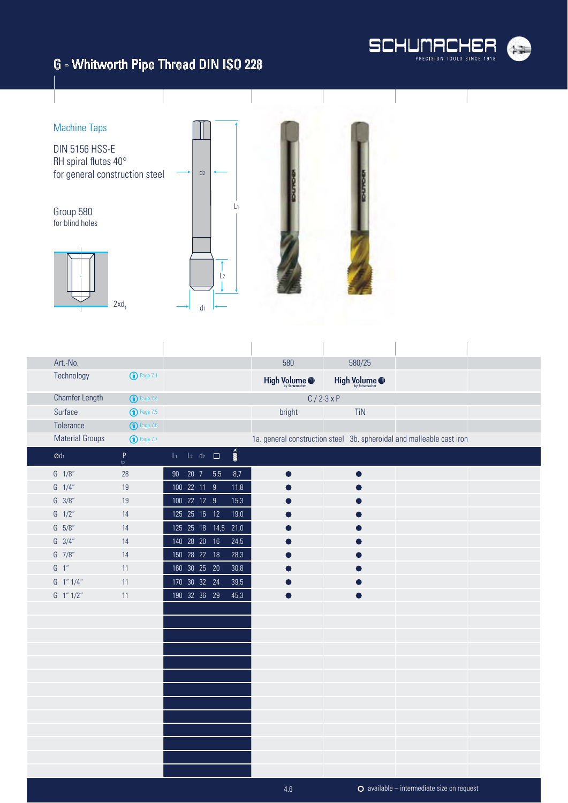



| Art.-No.               |                                    |                             |                       | 580           | 580/25                                                                |  |
|------------------------|------------------------------------|-----------------------------|-----------------------|---------------|-----------------------------------------------------------------------|--|
| Technology             | $\bigodot$ Page 7.1                |                             |                       | High Volume @ | High Volume @                                                         |  |
| Chamfer Length         | <sup>D</sup> Page 7.4              |                             |                       |               | $C / 2 - 3xP$                                                         |  |
| Surface                | <b>1</b> Page 7.5                  |                             |                       | bright        | TiN                                                                   |  |
| Tolerance              | $\bigodot$ Page 7.6                |                             |                       |               |                                                                       |  |
| <b>Material Groups</b> | <b>1</b> Page 7.7                  |                             |                       |               | 1a. general construction steel 3b. spheroidal and malleable cast iron |  |
| $\emptyset$ dı         | $\mathop{\mathsf{P}}_\mathsf{tri}$ | $L_1$ $L_2$ $d_2$ $\square$ | $\sum_{i=1}^{\infty}$ |               |                                                                       |  |
| $G \quad 1/8''$        | 28                                 | 90 20 7 5,5                 | 8,7                   | $\bullet$     | O                                                                     |  |
| $G \quad 1/4''$        | 19                                 | 100 22 11 9                 | 11,8                  |               |                                                                       |  |
| $G \ 3/8"$             | 19                                 | 100 22 12 9                 | 15,3                  |               |                                                                       |  |
| $G \frac{1}{2}$        | 14                                 | 125  25  16  12             | 19,0                  |               |                                                                       |  |
| G 5/8"                 | 14                                 | 125 25 18 14,5              | 21,0                  |               |                                                                       |  |
| $G \quad 3/4''$        | 14                                 | 140 28 20 16                | 24,5                  |               |                                                                       |  |
| G 7/8"                 | 14                                 | 150 28 22 18                | 28,3                  |               |                                                                       |  |
| $G-1$ "                | 11                                 | 160 30 25 20                | 30,8                  |               |                                                                       |  |
| G 1" 1/4"              | 11                                 | 170 30 32 24                | 39,5                  |               |                                                                       |  |
| $G$ 1" $1/2$ "         | 11                                 | 190 32 36 29                | 45,3                  |               |                                                                       |  |
|                        |                                    |                             |                       |               |                                                                       |  |
|                        |                                    |                             |                       |               |                                                                       |  |
|                        |                                    |                             |                       |               |                                                                       |  |
|                        |                                    |                             |                       |               |                                                                       |  |
|                        |                                    |                             |                       |               |                                                                       |  |
|                        |                                    |                             |                       |               |                                                                       |  |
|                        |                                    |                             |                       |               |                                                                       |  |
|                        |                                    |                             |                       |               |                                                                       |  |
|                        |                                    |                             |                       |               |                                                                       |  |
|                        |                                    |                             |                       |               |                                                                       |  |
|                        |                                    |                             |                       |               |                                                                       |  |
|                        |                                    |                             |                       |               |                                                                       |  |
|                        |                                    |                             |                       |               |                                                                       |  |

4.6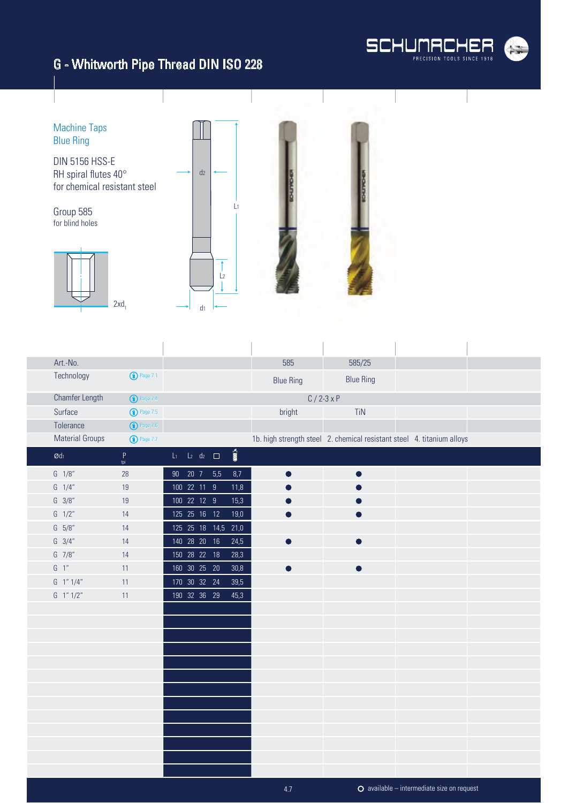



| Art.-No.               |                     |                                                    | 585              | 585/25                                                                 |  |
|------------------------|---------------------|----------------------------------------------------|------------------|------------------------------------------------------------------------|--|
| Technology             | $\bigodot$ Page 7.1 |                                                    | <b>Blue Ring</b> | <b>Blue Ring</b>                                                       |  |
| Chamfer Length         | <b>1</b> Page 7.4   |                                                    |                  | $C / 2 - 3x P$                                                         |  |
| Surface                | $\bigodot$ Page 7.5 |                                                    | bright           | TiN                                                                    |  |
| Tolerance              | $\bigodot$ Page 7.6 |                                                    |                  |                                                                        |  |
| <b>Material Groups</b> | <b>1</b> Page 7.7   |                                                    |                  | 1b. high strength steel 2. chemical resistant steel 4. titanium alloys |  |
| $\emptyset$ dı         | $\mathsf P$<br>tpi  | $\overline{\text{nm}}$<br>$L_1$ $L_2$ $d_2$ $\Box$ |                  |                                                                        |  |
| $G \quad 1/8''$        | 28                  | 90  20  7  5,5<br>$8,7$                            | $\bullet$        | ●                                                                      |  |
| $G \quad 1/4''$        | 19                  | 100 22 11 9<br>11,8                                |                  |                                                                        |  |
| $G \frac{3}{8}$        | 19                  | 100 22 12 9<br>15,3                                |                  |                                                                        |  |
| $G \frac{1}{2}$        | 14                  | 125  25  16  12<br>19,0                            |                  |                                                                        |  |
| G 5/8"                 | 14                  | 125  25  18  14,5<br>21,0                          |                  |                                                                        |  |
| $G \quad 3/4''$        | 14                  | 140 28 20 16<br>24,5                               |                  |                                                                        |  |
| G 7/8"                 | 14                  | 150 28 22 18<br>28,3                               |                  |                                                                        |  |
| $G-1$ "                | 11                  | 160 30 25 20<br>$30,8$                             |                  | ●                                                                      |  |
| G 1" 1/4"              | 11                  | 170 30 32 24<br>39,5                               |                  |                                                                        |  |
| $G$ 1" $1/2$ "         | 11                  | 190 32 36 29<br>45,3                               |                  |                                                                        |  |
|                        |                     |                                                    |                  |                                                                        |  |
|                        |                     |                                                    |                  |                                                                        |  |
|                        |                     |                                                    |                  |                                                                        |  |
|                        |                     |                                                    |                  |                                                                        |  |
|                        |                     |                                                    |                  |                                                                        |  |
|                        |                     |                                                    |                  |                                                                        |  |
|                        |                     |                                                    |                  |                                                                        |  |
|                        |                     |                                                    |                  |                                                                        |  |
|                        |                     |                                                    |                  |                                                                        |  |
|                        |                     |                                                    |                  |                                                                        |  |
|                        |                     |                                                    |                  |                                                                        |  |
|                        |                     |                                                    |                  |                                                                        |  |
|                        |                     |                                                    |                  |                                                                        |  |

available – intermediate size on request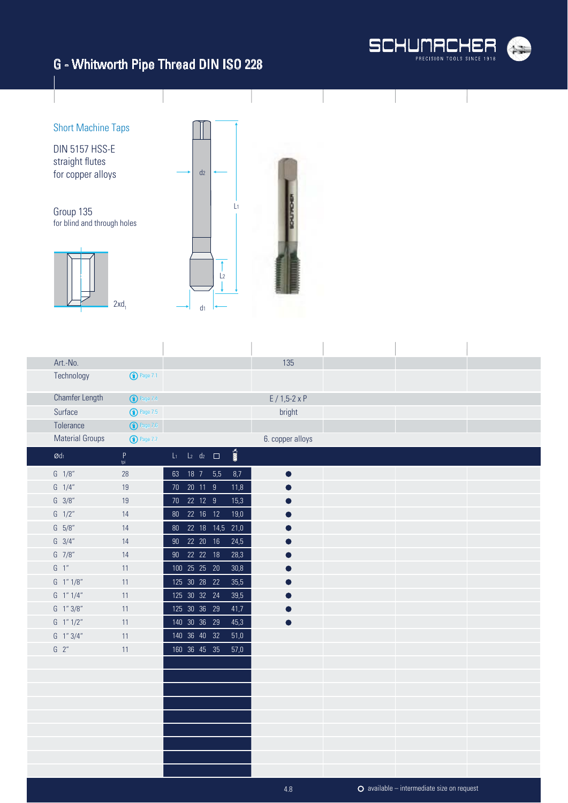



| Art.-No.               |                         |    |                          |                        |                       | 135                  |  |  |
|------------------------|-------------------------|----|--------------------------|------------------------|-----------------------|----------------------|--|--|
| Technology             | $\bigodot$ Page 7.1     |    |                          |                        |                       |                      |  |  |
| Chamfer Length         | <sup>1</sup> Page 7.4   |    |                          |                        |                       | $E / 1,5-2 \times P$ |  |  |
| Surface                | $\binom{1}{1}$ Page 7.5 |    |                          |                        |                       | bright               |  |  |
| Tolerance              | $\bigodot$ Page 7.6     |    |                          |                        |                       |                      |  |  |
| <b>Material Groups</b> | <b>1</b> Page 7.7       |    |                          |                        |                       | 6. copper alloys     |  |  |
| $\emptyset$ dı         | P<br>tpi                |    | $L_1$ $L_2$ $d_2$ $\Box$ |                        | $\sum_{i=1}^{\infty}$ |                      |  |  |
| $G \quad 1/8"$         | 28                      | 63 | $18$ 7                   | 5,5                    | 8,7                   | $\bullet$            |  |  |
| $G \quad 1/4"$         | 19                      |    | 70 20 11 9               |                        | 11,8                  |                      |  |  |
| $G \frac{3}{8}$        | 19                      |    | 70  22  12  9            |                        | 15,3                  |                      |  |  |
| $G \frac{1}{2}$        | 14                      |    | 80  22  16  12           |                        | 19,0                  |                      |  |  |
| G 5/8"                 | 14                      |    |                          | 80  22  18  14,5  21,0 |                       |                      |  |  |
| $G \quad 3/4"$         | 14                      |    | 90  22  20  16           |                        | 24,5                  |                      |  |  |
| G 7/8"                 | 14                      |    | 90  22  22  18           |                        | 28,3                  | œ                    |  |  |
| $G-1$ "                | 11                      |    | 100 25 25 20             |                        | 30,8                  |                      |  |  |
| G 1" 1/8"              | 11                      |    | 125 30 28 22             |                        | 35,5                  |                      |  |  |
| G 1"1/4"               | 11                      |    | 125 30 32 24             |                        | 39,5                  |                      |  |  |
| G 1"3/8"               | 11                      |    | 125 30 36 29             |                        | 41,7                  |                      |  |  |
| $G$ 1" $1/2$ "         | 11                      |    | 140 30 36 29             |                        | 45,3                  |                      |  |  |
| $G$ 1" $3/4$ "         | 11                      |    | 140 36 40 32             |                        | $51,0$                |                      |  |  |
| $G$ 2"                 | 11                      |    | 160 36 45 35             |                        | 57,0                  |                      |  |  |
|                        |                         |    |                          |                        |                       |                      |  |  |
|                        |                         |    |                          |                        |                       |                      |  |  |
|                        |                         |    |                          |                        |                       |                      |  |  |
|                        |                         |    |                          |                        |                       |                      |  |  |
|                        |                         |    |                          |                        |                       |                      |  |  |
|                        |                         |    |                          |                        |                       |                      |  |  |
|                        |                         |    |                          |                        |                       |                      |  |  |
|                        |                         |    |                          |                        |                       |                      |  |  |
|                        |                         |    |                          |                        |                       |                      |  |  |